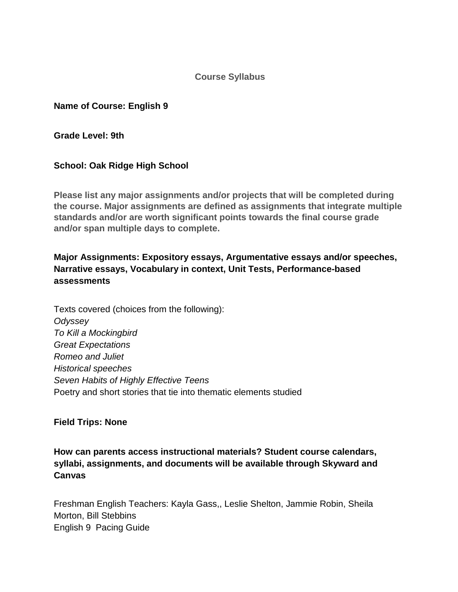**Course Syllabus**

**Name of Course: English 9**

**Grade Level: 9th**

## **School: Oak Ridge High School**

**Please list any major assignments and/or projects that will be completed during the course. Major assignments are defined as assignments that integrate multiple standards and/or are worth significant points towards the final course grade and/or span multiple days to complete.**

## **Major Assignments: Expository essays, Argumentative essays and/or speeches, Narrative essays, Vocabulary in context, Unit Tests, Performance-based assessments**

Texts covered (choices from the following): *Odyssey To Kill a Mockingbird Great Expectations Romeo and Juliet Historical speeches Seven Habits of Highly Effective Teens* Poetry and short stories that tie into thematic elements studied

## **Field Trips: None**

**How can parents access instructional materials? Student course calendars, syllabi, assignments, and documents will be available through Skyward and Canvas**

Freshman English Teachers: Kayla Gass,, Leslie Shelton, Jammie Robin, Sheila Morton, Bill Stebbins English 9 Pacing Guide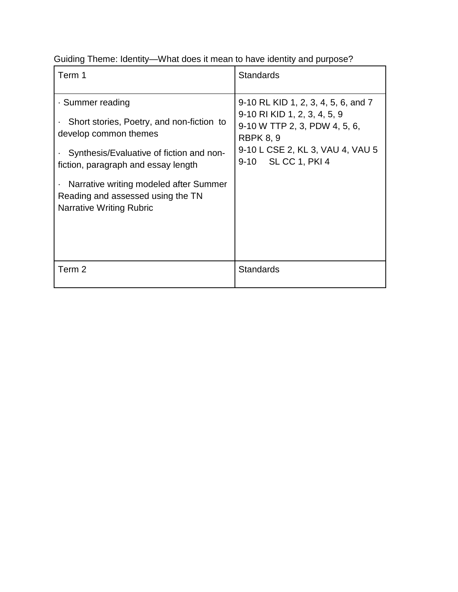Guiding Theme: Identity—What does it mean to have identity and purpose?

| Term 1                                                                                                                                                                                                                                                                               | <b>Standards</b>                                                                                                                                                                           |
|--------------------------------------------------------------------------------------------------------------------------------------------------------------------------------------------------------------------------------------------------------------------------------------|--------------------------------------------------------------------------------------------------------------------------------------------------------------------------------------------|
| · Summer reading<br>Short stories, Poetry, and non-fiction to<br>develop common themes<br>Synthesis/Evaluative of fiction and non-<br>fiction, paragraph and essay length<br>Narrative writing modeled after Summer<br>Reading and assessed using the TN<br>Narrative Writing Rubric | 9-10 RL KID 1, 2, 3, 4, 5, 6, and 7<br>9-10 RI KID 1, 2, 3, 4, 5, 9<br>9-10 W TTP 2, 3, PDW 4, 5, 6,<br><b>RBPK 8, 9</b><br>9-10 L CSE 2, KL 3, VAU 4, VAU 5<br>SL CC 1, PKI 4<br>$9 - 10$ |
| Term 2                                                                                                                                                                                                                                                                               | <b>Standards</b>                                                                                                                                                                           |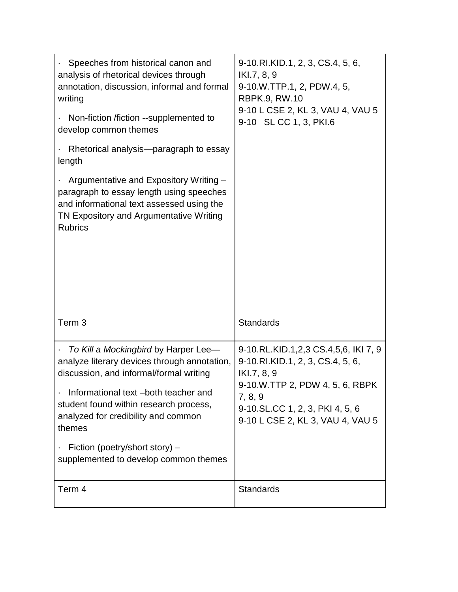| Speeches from historical canon and<br>analysis of rhetorical devices through<br>annotation, discussion, informal and formal<br>writing<br>Non-fiction /fiction --supplemented to<br>develop common themes<br>Rhetorical analysis—paragraph to essay<br>length<br>Argumentative and Expository Writing -<br>paragraph to essay length using speeches<br>and informational text assessed using the<br>TN Expository and Argumentative Writing<br><b>Rubrics</b> | 9-10.RI.KID.1, 2, 3, CS.4, 5, 6,<br>IKI.7, 8, 9<br>9-10.W.TTP.1, 2, PDW.4, 5,<br><b>RBPK.9, RW.10</b><br>9-10 L CSE 2, KL 3, VAU 4, VAU 5<br>9-10 SL CC 1, 3, PKI.6                                          |
|---------------------------------------------------------------------------------------------------------------------------------------------------------------------------------------------------------------------------------------------------------------------------------------------------------------------------------------------------------------------------------------------------------------------------------------------------------------|--------------------------------------------------------------------------------------------------------------------------------------------------------------------------------------------------------------|
|                                                                                                                                                                                                                                                                                                                                                                                                                                                               |                                                                                                                                                                                                              |
| Term <sub>3</sub>                                                                                                                                                                                                                                                                                                                                                                                                                                             | <b>Standards</b>                                                                                                                                                                                             |
| To Kill a Mockingbird by Harper Lee-<br>analyze literary devices through annotation,<br>discussion, and informal/formal writing<br>Informational text -both teacher and<br>student found within research process,<br>analyzed for credibility and common<br>themes<br>Fiction (poetry/short story) -<br>supplemented to develop common themes                                                                                                                 | 9-10.RL.KID.1,2,3 CS.4,5,6, IKI 7, 9<br>9-10.RI.KID.1, 2, 3, CS.4, 5, 6,<br>IKI.7, 8, 9<br>9-10.W.TTP 2, PDW 4, 5, 6, RBPK<br>7, 8, 9<br>9-10.SL.CC 1, 2, 3, PKI 4, 5, 6<br>9-10 L CSE 2, KL 3, VAU 4, VAU 5 |
| Term 4                                                                                                                                                                                                                                                                                                                                                                                                                                                        | <b>Standards</b>                                                                                                                                                                                             |